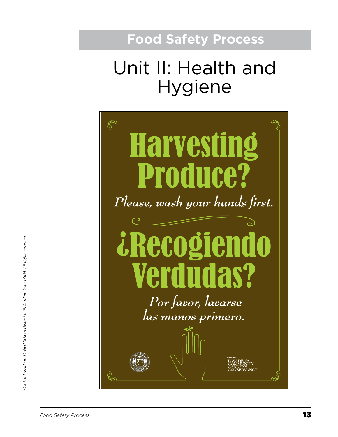## **Food Safety Process**

# Unit II: Health and Hygiene

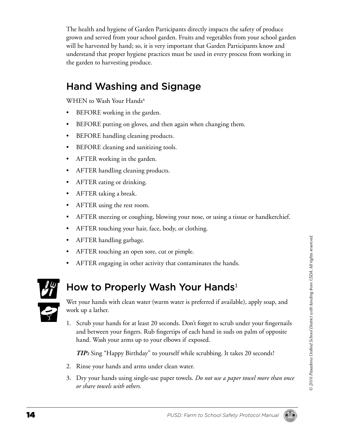The health and hygiene of Garden Participants directly impacts the safety of produce grown and served from your school garden. Fruits and vegetables from your school garden will be harvested by hand; so, it is very important that Garden Participants know and understand that proper hygiene practices must be used in every process from working in the garden to harvesting produce.

### Hand Washing and Signage

WHEN to Wash Your Hands<sup>6</sup>

- BEFORE working in the garden.
- BEFORE putting on gloves, and then again when changing them.
- BEFORE handling cleaning products.
- BEFORE cleaning and sanitizing tools.
- AFTER working in the garden.
- AFTER handling cleaning products.
- AFTER eating or drinking.
- AFTER taking a break.
- AFTER using the rest room.
- AFTER sneezing or coughing, blowing your nose, or using a tissue or handkerchief.
- AFTER touching your hair, face, body, or clothing.
- AFTER handling garbage.
- AFTER touching an open sore, cut or pimple.
- AFTER engaging in other activity that contaminates the hands.

How to Properly Wash Your Hands<sup>1</sup>



Wet your hands with clean water (warm water is preferred if available), apply soap, and work up a lather.

1. Scrub your hands for at least 20 seconds. Don't forget to scrub under your fingernails and between your fingers. Rub fingertips of each hand in suds on palm of opposite hand. Wash your arms up to your elbows if exposed.

*TIP:* Sing "Happy Birthday" to yourself while scrubbing. It takes 20 seconds!

- 2. Rinse your hands and arms under clean water.
- 3. Dry your hands using single-use paper towels. *Do not use a paper towel more than once or share towels with others.*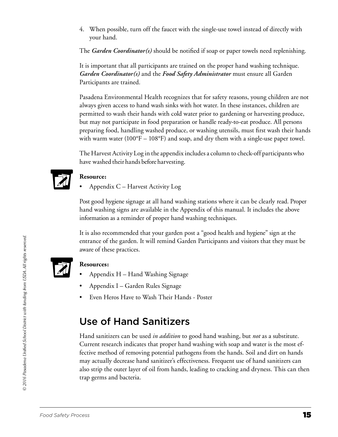4. When possible, turn off the faucet with the single-use towel instead of directly with your hand.

The *Garden Coordinator(s)* should be notified if soap or paper towels need replenishing.

It is important that all participants are trained on the proper hand washing technique. *Garden Coordinator(s)* and the *Food Safety Administrator* must ensure all Garden Participants are trained.

Pasadena Environmental Health recognizes that for safety reasons, young children are not always given access to hand wash sinks with hot water. In these instances, children are permitted to wash their hands with cold water prior to gardening or harvesting produce, but may not participate in food preparation or handle ready-to-eat produce. All persons preparing food, handling washed produce, or washing utensils, must first wash their hands with warm water (100°F – 108°F) and soap, and dry them with a single-use paper towel.

The Harvest Activity Log in the appendix includes a column to check-off participants who have washed their hands before harvesting.



#### **Resource:**

Appendix C – Harvest Activity Log

Post good hygiene signage at all hand washing stations where it can be clearly read. Proper hand washing signs are available in the Appendix of this manual. It includes the above information as a reminder of proper hand washing techniques.

It is also recommended that your garden post a "good health and hygiene" sign at the entrance of the garden. It will remind Garden Participants and visitors that they must be aware of these practices.



#### **Resources:**

- Appendix  $H H$ and Washing Signage
- Appendix I Garden Rules Signage
- Even Heros Have to Wash Their Hands Poster

### Use of Hand Sanitizers

Hand sanitizers can be used *in addition* to good hand washing, but *not* as a substitute. Current research indicates that proper hand washing with soap and water is the most effective method of removing potential pathogens from the hands. Soil and dirt on hands may actually decrease hand sanitizer's effectiveness. Frequent use of hand sanitizers can also strip the outer layer of oil from hands, leading to cracking and dryness. This can then trap germs and bacteria.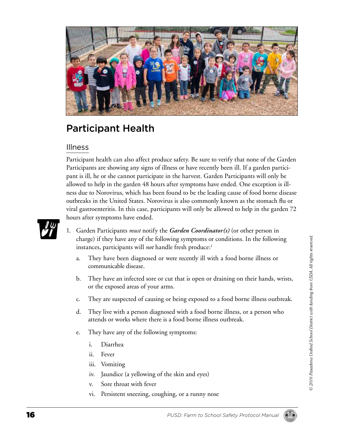

### Participant Health

#### Illness

Participant health can also affect produce safety. Be sure to verify that none of the Garden Participants are showing any signs of illness or have recently been ill. If a garden participant is ill, he or she cannot participate in the harvest. Garden Participants will only be allowed to help in the garden 48 hours after symptoms have ended. One exception is illness due to Norovirus, which has been found to be the leading cause of food borne disease outbreaks in the United States. Norovirus is also commonly known as the stomach flu or viral gastroenteritis. In this case, participants will only be allowed to help in the garden 72 hours after symptoms have ended.



- 1. Garden Participants *must* notify the *Garden Coordinator(s)* (or other person in charge) if they have any of the following symptoms or conditions. In the following instances, participants will *not* handle fresh produce:<sup>1</sup>
	- a. They have been diagnosed or were recently ill with a food borne illness or communicable disease.
	- b. They have an infected sore or cut that is open or draining on their hands, wrists, or the exposed areas of your arms.
	- c. They are suspected of causing or being exposed to a food borne illness outbreak.
	- d. They live with a person diagnosed with a food borne illness, or a person who attends or works where there is a food borne illness outbreak.
	- e. They have any of the following symptoms:
		- i. Diarrhea
		- ii. Fever
		- iii. Vomiting
		- iv. Jaundice (a yellowing of the skin and eyes)
		- v. Sore throat with fever
		- vi. Persistent sneezing, coughing, or a runny nose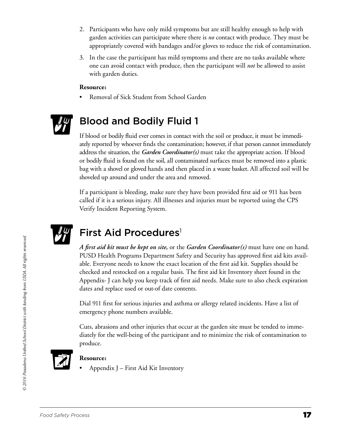- 2. Participants who have only mild symptoms but are still healthy enough to help with garden activities can participate where there is *no* contact with produce. They must be appropriately covered with bandages and/or gloves to reduce the risk of contamination.
- 3. In the case the participant has mild symptoms and there are no tasks available where one can avoid contact with produce, then the participant will *not* be allowed to assist with garden duties.

#### **Resource:**

Removal of Sick Student from School Garden



### Blood and Bodily Fluid 1

If blood or bodily fluid ever comes in contact with the soil or produce, it must be immediately reported by whoever finds the contamination; however, if that person cannot immediately address the situation, the *Garden Coordinator(s)* must take the appropriate action. If blood or bodily fluid is found on the soil, all contaminated surfaces must be removed into a plastic bag with a shovel or gloved hands and then placed in a waste basket. All affected soil will be shoveled up around and under the area and removed.

If a participant is bleeding, make sure they have been provided first aid or 911 has been called if it is a serious injury. All illnesses and injuries must be reported using the CPS Verify Incident Reporting System.



### First Aid Procedures<sup>1</sup>

*A first aid kit must be kept on site,* or the *Garden Coordinator(s)* must have one on hand. PUSD Health Programs Department Safety and Security has approved first aid kits available. Everyone needs to know the exact location of the first aid kit. Supplies should be checked and restocked on a regular basis. The first aid kit Inventory sheet found in the Appendix- J can help you keep track of first aid needs. Make sure to also check expiration dates and replace used or out-of date contents.

Dial 911 first for serious injuries and asthma or allergy related incidents. Have a list of emergency phone numbers available.

Cuts, abrasions and other injuries that occur at the garden site must be tended to immediately for the well-being of the participant and to minimize the risk of contamination to produce.



#### **Resource:**

Appendix J – First Aid Kit Inventory